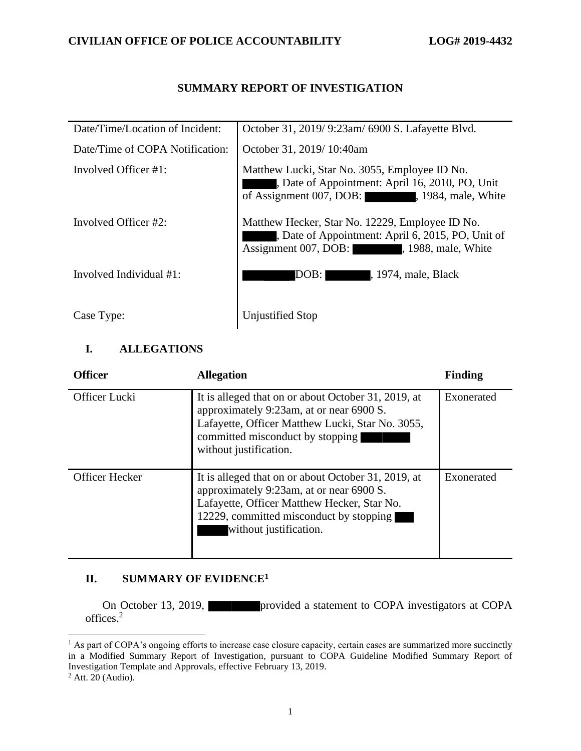### **SUMMARY REPORT OF INVESTIGATION**

| Date/Time/Location of Incident: | October 31, 2019/9:23am/6900 S. Lafayette Blvd.                                                                                              |
|---------------------------------|----------------------------------------------------------------------------------------------------------------------------------------------|
| Date/Time of COPA Notification: | October 31, 2019/10:40am                                                                                                                     |
| Involved Officer #1:            | Matthew Lucki, Star No. 3055, Employee ID No.<br>Date of Appointment: April 16, 2010, PO, Unit<br>of Assignment 007, DOB: 1984, male, White  |
| Involved Officer #2:            | Matthew Hecker, Star No. 12229, Employee ID No.<br>Date of Appointment: April 6, 2015, PO, Unit of<br>Assignment 007, DOB: 1988, male, White |
| Involved Individual #1:         | DOB: I<br>, 1974, male, Black                                                                                                                |
| Case Type:                      | Unjustified Stop                                                                                                                             |

## **I. ALLEGATIONS**

| <b>Officer</b>        | <b>Allegation</b>                                                                                                                                                                                                   | <b>Finding</b> |
|-----------------------|---------------------------------------------------------------------------------------------------------------------------------------------------------------------------------------------------------------------|----------------|
| Officer Lucki         | It is alleged that on or about October 31, 2019, at<br>approximately 9:23am, at or near 6900 S.<br>Lafayette, Officer Matthew Lucki, Star No. 3055,<br>committed misconduct by stopping<br>without justification.   | Exonerated     |
| <b>Officer Hecker</b> | It is alleged that on or about October 31, 2019, at<br>approximately 9:23am, at or near 6900 S.<br>Lafayette, Officer Matthew Hecker, Star No.<br>12229, committed misconduct by stopping<br>without justification. | Exonerated     |

## **II. SUMMARY OF EVIDENCE<sup>1</sup>**

On October 13, 2019, provided a statement to COPA investigators at COPA offices.<sup>2</sup>

<sup>&</sup>lt;sup>1</sup> As part of COPA's ongoing efforts to increase case closure capacity, certain cases are summarized more succinctly in a Modified Summary Report of Investigation, pursuant to COPA Guideline Modified Summary Report of Investigation Template and Approvals, effective February 13, 2019.

 $2$  Att. 20 (Audio).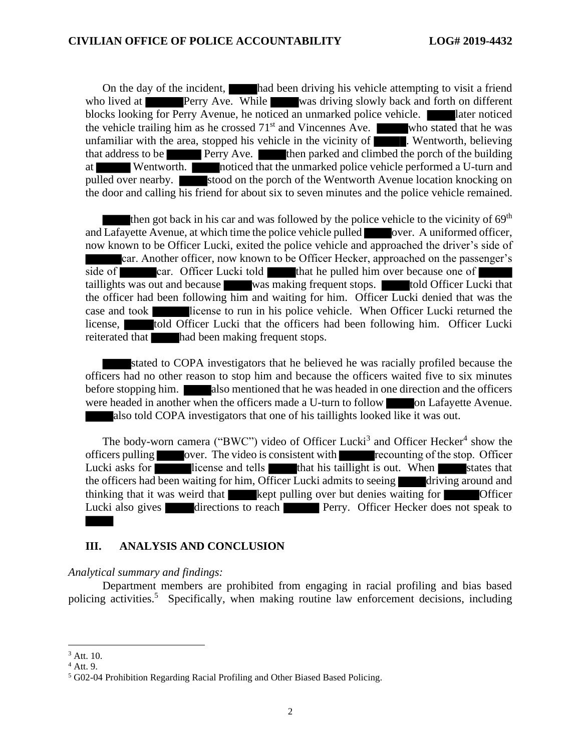On the day of the incident, had been driving his vehicle attempting to visit a friend who lived at **Perry Ave.** While was driving slowly back and forth on different blocks looking for Perry Avenue, he noticed an unmarked police vehicle. **In all alter noticed** the vehicle trailing him as he crossed  $71<sup>st</sup>$  and Vincennes Ave. who stated that he was unfamiliar with the area, stopped his vehicle in the vicinity of  $\overline{\phantom{a}}$ . Wentworth, believing that address to be Perry Ave. then parked and climbed the porch of the building at Wentworth. noticed that the unmarked police vehicle performed a U-turn and pulled over nearby. stood on the porch of the Wentworth Avenue location knocking on the door and calling his friend for about six to seven minutes and the police vehicle remained.

then got back in his car and was followed by the police vehicle to the vicinity of  $69<sup>th</sup>$ and Lafayette Avenue, at which time the police vehicle pulled over. A uniformed officer, now known to be Officer Lucki, exited the police vehicle and approached the driver's side of car. Another officer, now known to be Officer Hecker, approached on the passenger's side of car. Officer Lucki told that he pulled him over because one of taillights was out and because was making frequent stops. told Officer Lucki that the officer had been following him and waiting for him. Officer Lucki denied that was the case and took license to run in his police vehicle. When Officer Lucki returned the license, told Officer Lucki that the officers had been following him. Officer Lucki reiterated that had been making frequent stops.

stated to COPA investigators that he believed he was racially profiled because the officers had no other reason to stop him and because the officers waited five to six minutes before stopping him. **Also mentioned that he was headed in one direction and the officers** were headed in another when the officers made a U-turn to follow on Lafayette Avenue. also told COPA investigators that one of his taillights looked like it was out.

The body-worn camera ("BWC") video of Officer Lucki<sup>3</sup> and Officer Hecker<sup>4</sup> show the officers pulling over. The video is consistent with recounting of the stop. Officer Lucki asks for license and tells that his taillight is out. When states that the officers had been waiting for him, Officer Lucki admits to seeing driving around and thinking that it was weird that kept pulling over but denies waiting for **Officer** Lucki also gives directions to reach Perry. Officer Hecker does not speak to

#### **III. ANALYSIS AND CONCLUSION**

*Analytical summary and findings:*

Department members are prohibited from engaging in racial profiling and bias based policing activities.<sup>5</sup> Specifically, when making routine law enforcement decisions, including

<sup>3</sup> Att. 10.

 $4$  Att. 9.

<sup>5</sup> G02-04 Prohibition Regarding Racial Profiling and Other Biased Based Policing.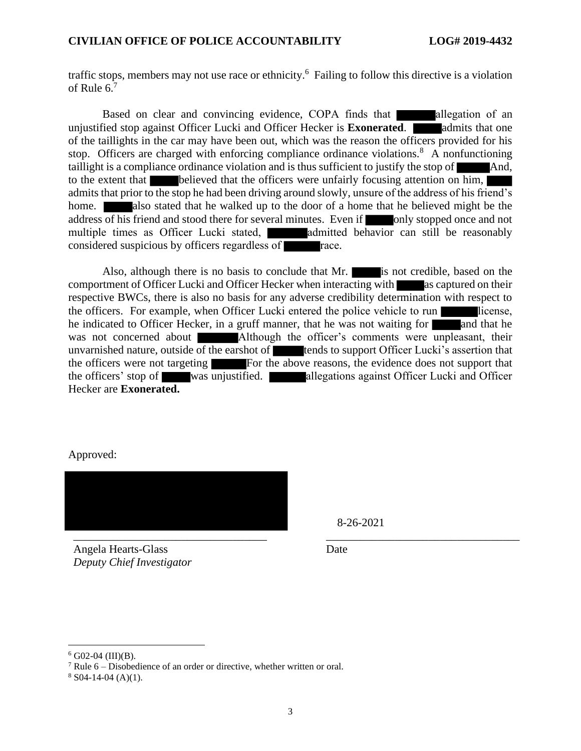traffic stops, members may not use race or ethnicity.<sup>6</sup> Failing to follow this directive is a violation of Rule  $6.7$ 

Based on clear and convincing evidence, COPA finds that allegation of an unjustified stop against Officer Lucki and Officer Hecker is **Exonerated**. **and admits that one** of the taillights in the car may have been out, which was the reason the officers provided for his stop. Officers are charged with enforcing compliance ordinance violations.<sup>8</sup> A nonfunctioning taillight is a compliance ordinance violation and is thus sufficient to justify the stop of And, to the extent that believed that the officers were unfairly focusing attention on him, admits that prior to the stop he had been driving around slowly, unsure of the address of his friend's home. **also stated that he walked up to the door of a home that he believed might be the** address of his friend and stood there for several minutes. Even if only stopped once and not multiple times as Officer Lucki stated, admitted behavior can still be reasonably considered suspicious by officers regardless of **race**.

Also, although there is no basis to conclude that Mr. is not credible, based on the comportment of Officer Lucki and Officer Hecker when interacting with as captured on their respective BWCs, there is also no basis for any adverse credibility determination with respect to the officers. For example, when Officer Lucki entered the police vehicle to run license, he indicated to Officer Hecker, in a gruff manner, that he was not waiting for and that he was not concerned about Although the officer's comments were unpleasant, their unvarnished nature, outside of the earshot of **the earshot of the support Officer Lucki**'s assertion that the officers were not targeting For the above reasons, the evidence does not support that the officers' stop of was unjustified. allegations against Officer Lucki and Officer Hecker are **Exonerated.**

#### Approved:



Angela Hearts-Glass *Deputy Chief Investigator* 8-26-2021

Date

 $6$  G02-04 (III)(B).

 $7$  Rule 6 – Disobedience of an order or directive, whether written or oral.

 $8$  S04-14-04 (A)(1).